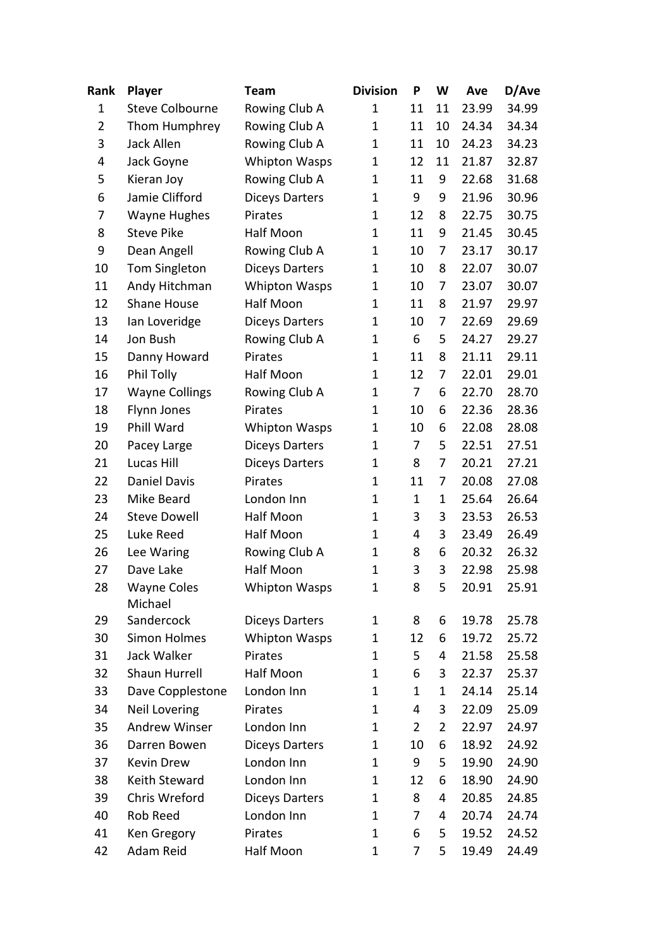| Rank           | <b>Player</b>                 | <b>Team</b>           | <b>Division</b> | P              | W              | Ave   | D/Ave |
|----------------|-------------------------------|-----------------------|-----------------|----------------|----------------|-------|-------|
| 1              | <b>Steve Colbourne</b>        | Rowing Club A         | $\mathbf 1$     | 11             | 11             | 23.99 | 34.99 |
| $\overline{2}$ | Thom Humphrey                 | Rowing Club A         | $\mathbf 1$     | 11             | 10             | 24.34 | 34.34 |
| 3              | <b>Jack Allen</b>             | Rowing Club A         | $\mathbf 1$     | 11             | 10             | 24.23 | 34.23 |
| 4              | Jack Goyne                    | <b>Whipton Wasps</b>  | 1               | 12             | 11             | 21.87 | 32.87 |
| 5              | Kieran Joy                    | Rowing Club A         | 1               | 11             | 9              | 22.68 | 31.68 |
| 6              | Jamie Clifford                | <b>Diceys Darters</b> | $\mathbf 1$     | 9              | 9              | 21.96 | 30.96 |
| 7              | <b>Wayne Hughes</b>           | Pirates               | $\mathbf 1$     | 12             | 8              | 22.75 | 30.75 |
| 8              | <b>Steve Pike</b>             | Half Moon             | 1               | 11             | 9              | 21.45 | 30.45 |
| 9              | Dean Angell                   | Rowing Club A         | $\mathbf 1$     | 10             | 7              | 23.17 | 30.17 |
| 10             | Tom Singleton                 | <b>Diceys Darters</b> | 1               | 10             | 8              | 22.07 | 30.07 |
| 11             | Andy Hitchman                 | Whipton Wasps         | 1               | 10             | 7              | 23.07 | 30.07 |
| 12             | Shane House                   | Half Moon             | 1               | 11             | 8              | 21.97 | 29.97 |
| 13             | lan Loveridge                 | <b>Diceys Darters</b> | 1               | 10             | 7              | 22.69 | 29.69 |
| 14             | Jon Bush                      | Rowing Club A         | 1               | 6              | 5              | 24.27 | 29.27 |
| 15             | Danny Howard                  | Pirates               | $\mathbf 1$     | 11             | 8              | 21.11 | 29.11 |
| 16             | Phil Tolly                    | Half Moon             | 1               | 12             | 7              | 22.01 | 29.01 |
| 17             | <b>Wayne Collings</b>         | Rowing Club A         | 1               | 7              | 6              | 22.70 | 28.70 |
| 18             | Flynn Jones                   | Pirates               | $\mathbf 1$     | 10             | 6              | 22.36 | 28.36 |
| 19             | Phill Ward                    | <b>Whipton Wasps</b>  | $\mathbf 1$     | 10             | 6              | 22.08 | 28.08 |
| 20             | Pacey Large                   | <b>Diceys Darters</b> | $\mathbf 1$     | 7              | 5              | 22.51 | 27.51 |
| 21             | Lucas Hill                    | <b>Diceys Darters</b> | 1               | 8              | 7              | 20.21 | 27.21 |
| 22             | Daniel Davis                  | Pirates               | 1               | 11             | 7              | 20.08 | 27.08 |
| 23             | Mike Beard                    | London Inn            | $\mathbf 1$     | $\mathbf 1$    | $\mathbf{1}$   | 25.64 | 26.64 |
| 24             | <b>Steve Dowell</b>           | Half Moon             | 1               | 3              | 3              | 23.53 | 26.53 |
| 25             | Luke Reed                     | Half Moon             | 1               | 4              | 3              | 23.49 | 26.49 |
| 26             | Lee Waring                    | Rowing Club A         | 1               | 8              | 6              | 20.32 | 26.32 |
| 27             | Dave Lake                     | Half Moon             | 1               | 3              | 3              | 22.98 | 25.98 |
| 28             | <b>Wayne Coles</b><br>Michael | <b>Whipton Wasps</b>  | $\mathbf 1$     | 8              | 5              | 20.91 | 25.91 |
| 29             | Sandercock                    | <b>Diceys Darters</b> | 1               | 8              | 6              | 19.78 | 25.78 |
| 30             | <b>Simon Holmes</b>           | <b>Whipton Wasps</b>  | 1               | 12             | 6              | 19.72 | 25.72 |
| 31             | Jack Walker                   | Pirates               | $\mathbf 1$     | 5              | 4              | 21.58 | 25.58 |
| 32             | Shaun Hurrell                 | Half Moon             | 1               | 6              | 3              | 22.37 | 25.37 |
| 33             | Dave Copplestone              | London Inn            | 1               | 1              | 1              | 24.14 | 25.14 |
| 34             | Neil Lovering                 | Pirates               | $\mathbf 1$     | 4              | 3              | 22.09 | 25.09 |
| 35             | <b>Andrew Winser</b>          | London Inn            | 1               | $\overline{2}$ | $\overline{2}$ | 22.97 | 24.97 |
| 36             | Darren Bowen                  | <b>Diceys Darters</b> | 1               | 10             | 6              | 18.92 | 24.92 |
| 37             | Kevin Drew                    | London Inn            | 1               | 9              | 5              | 19.90 | 24.90 |
| 38             | Keith Steward                 | London Inn            | 1               | 12             | 6              | 18.90 | 24.90 |
| 39             | Chris Wreford                 | <b>Diceys Darters</b> | 1               | 8              | 4              | 20.85 | 24.85 |
| 40             | Rob Reed                      | London Inn            | $\mathbf 1$     | 7              | 4              | 20.74 | 24.74 |
| 41             | Ken Gregory                   | Pirates               | $\mathbf 1$     | 6              | 5              | 19.52 | 24.52 |
| 42             | Adam Reid                     | Half Moon             | 1               | 7              | 5              | 19.49 | 24.49 |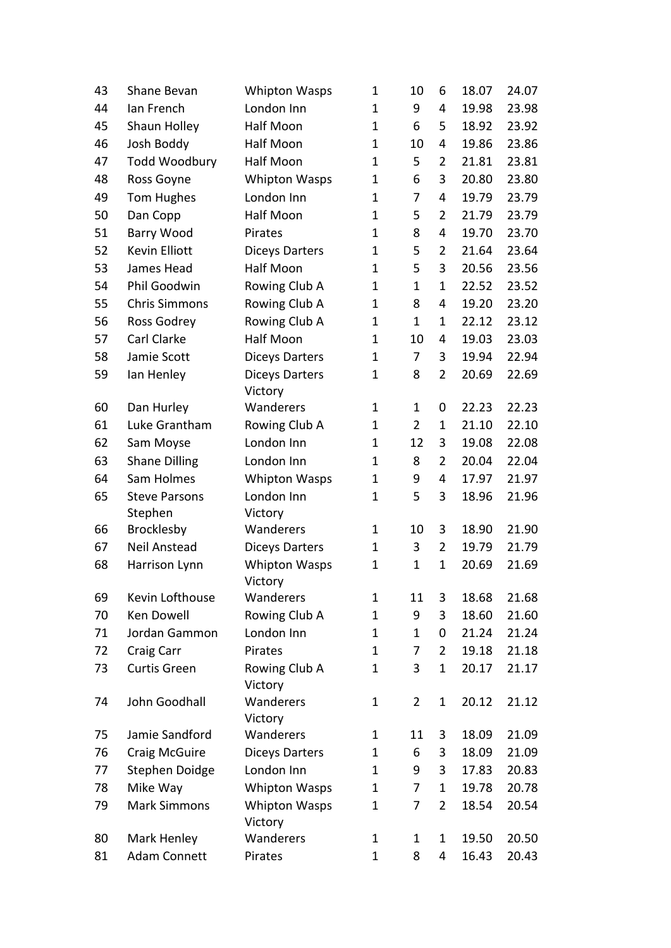| 43 | Shane Bevan           | <b>Whipton Wasps</b>                   | $\mathbf{1}$ | 10             | 6              | 18.07 | 24.07 |
|----|-----------------------|----------------------------------------|--------------|----------------|----------------|-------|-------|
| 44 | Ian French            | London Inn                             | $\mathbf{1}$ | 9              | 4              | 19.98 | 23.98 |
| 45 | Shaun Holley          | Half Moon                              | $\mathbf{1}$ | 6              | 5              | 18.92 | 23.92 |
| 46 | Josh Boddy            | Half Moon                              | $\mathbf{1}$ | 10             | 4              | 19.86 | 23.86 |
| 47 | <b>Todd Woodbury</b>  | Half Moon                              | $\mathbf{1}$ | 5              | $\overline{2}$ | 21.81 | 23.81 |
| 48 | Ross Goyne            | Whipton Wasps                          | $\mathbf{1}$ | 6              | 3              | 20.80 | 23.80 |
| 49 | Tom Hughes            | London Inn                             | $\mathbf{1}$ | 7              | 4              | 19.79 | 23.79 |
| 50 | Dan Copp              | Half Moon                              | $\mathbf 1$  | 5              | $\overline{2}$ | 21.79 | 23.79 |
| 51 | <b>Barry Wood</b>     | Pirates                                | $\mathbf 1$  | 8              | 4              | 19.70 | 23.70 |
| 52 | <b>Kevin Elliott</b>  | <b>Diceys Darters</b>                  | $\mathbf 1$  | 5              | $\overline{2}$ | 21.64 | 23.64 |
| 53 | James Head            | Half Moon                              | $\mathbf{1}$ | 5              | 3              | 20.56 | 23.56 |
| 54 | Phil Goodwin          | Rowing Club A                          | $\mathbf 1$  | $\mathbf 1$    | 1              | 22.52 | 23.52 |
| 55 | <b>Chris Simmons</b>  | Rowing Club A                          | $\mathbf 1$  | 8              | 4              | 19.20 | 23.20 |
| 56 | Ross Godrey           | Rowing Club A                          | $\mathbf 1$  | $\mathbf 1$    | $\mathbf 1$    | 22.12 | 23.12 |
| 57 | Carl Clarke           | <b>Half Moon</b>                       | $\mathbf{1}$ | 10             | 4              | 19.03 | 23.03 |
| 58 | Jamie Scott           | <b>Diceys Darters</b>                  | $\mathbf 1$  | 7              | 3              | 19.94 | 22.94 |
| 59 | lan Henley            | <b>Diceys Darters</b>                  | 1            | 8              | $\overline{2}$ | 20.69 | 22.69 |
|    |                       | Victory                                |              |                |                |       |       |
| 60 | Dan Hurley            | Wanderers                              | $\mathbf 1$  | $\mathbf 1$    | 0              | 22.23 | 22.23 |
| 61 | Luke Grantham         | Rowing Club A                          | 1            | $\overline{2}$ | $\mathbf 1$    | 21.10 | 22.10 |
| 62 | Sam Moyse             | London Inn                             | $\mathbf 1$  | 12             | 3              | 19.08 | 22.08 |
| 63 | <b>Shane Dilling</b>  | London Inn                             | $\mathbf{1}$ | 8              | $\overline{2}$ | 20.04 | 22.04 |
| 64 | Sam Holmes            | <b>Whipton Wasps</b>                   | $\mathbf 1$  | 9              | 4              | 17.97 | 21.97 |
| 65 | <b>Steve Parsons</b>  | London Inn                             | 1            | 5              | 3              | 18.96 | 21.96 |
| 66 | Stephen<br>Brocklesby | Victory<br>Wanderers                   | $\mathbf{1}$ | 10             | 3              | 18.90 | 21.90 |
| 67 | Neil Anstead          |                                        | $\mathbf 1$  | 3              | $\overline{2}$ | 19.79 | 21.79 |
| 68 | Harrison Lynn         | <b>Diceys Darters</b><br>Whipton Wasps | $\mathbf 1$  | $\mathbf 1$    | $\mathbf 1$    | 20.69 | 21.69 |
|    |                       | Victory                                |              |                |                |       |       |
| 69 | Kevin Lofthouse       | Wanderers                              | 1            | 11             | 3              | 18.68 | 21.68 |
| 70 | <b>Ken Dowell</b>     | Rowing Club A                          | $\mathbf{1}$ | 9              | 3              | 18.60 | 21.60 |
| 71 | Jordan Gammon         | London Inn                             | $\mathbf 1$  | 1              | 0              | 21.24 | 21.24 |
| 72 | Craig Carr            | Pirates                                | 1            | 7              | $\overline{2}$ | 19.18 | 21.18 |
| 73 | Curtis Green          | Rowing Club A                          | 1            | 3              | $\mathbf 1$    | 20.17 | 21.17 |
| 74 | John Goodhall         | Victory<br>Wanderers                   | $\mathbf{1}$ | $\overline{2}$ | $\mathbf 1$    | 20.12 | 21.12 |
|    |                       | Victory                                |              |                |                |       |       |
| 75 | Jamie Sandford        | Wanderers                              | 1            | 11             | 3              | 18.09 | 21.09 |
| 76 | <b>Craig McGuire</b>  | <b>Diceys Darters</b>                  | $\mathbf 1$  | 6              | 3              | 18.09 | 21.09 |
| 77 | Stephen Doidge        | London Inn                             | $\mathbf 1$  | 9              | 3              | 17.83 | 20.83 |
| 78 | Mike Way              | <b>Whipton Wasps</b>                   | $\mathbf 1$  | 7              | 1              | 19.78 | 20.78 |
| 79 | <b>Mark Simmons</b>   | <b>Whipton Wasps</b><br>Victory        | $\mathbf 1$  | 7              | 2              | 18.54 | 20.54 |
| 80 | Mark Henley           | Wanderers                              | $\mathbf 1$  | 1              | $\mathbf 1$    | 19.50 | 20.50 |
| 81 | <b>Adam Connett</b>   | Pirates                                | $\mathbf{1}$ | 8              | 4              | 16.43 | 20.43 |
|    |                       |                                        |              |                |                |       |       |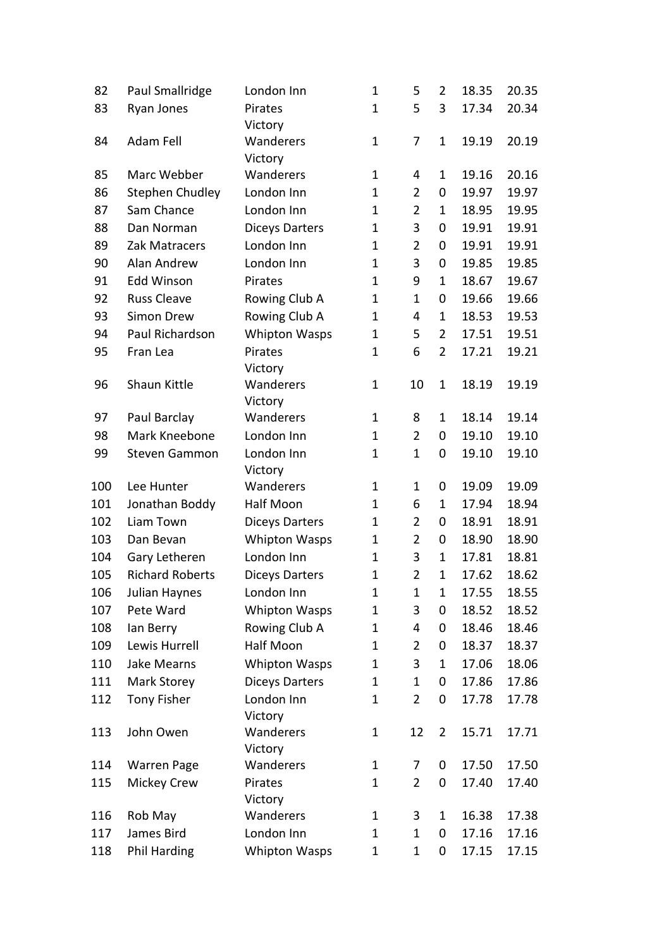| 82  | Paul Smallridge        | London Inn            | 1            | 5              | $\overline{2}$ | 18.35 | 20.35 |
|-----|------------------------|-----------------------|--------------|----------------|----------------|-------|-------|
| 83  | Ryan Jones             | Pirates               | $\mathbf 1$  | 5              | 3              | 17.34 | 20.34 |
|     |                        | Victory               |              |                |                |       |       |
| 84  | Adam Fell              | Wanderers             | $\mathbf{1}$ | 7              | $\mathbf 1$    | 19.19 | 20.19 |
|     |                        | Victory               |              |                |                |       |       |
| 85  | Marc Webber            | Wanderers             | $\mathbf 1$  | 4              | $\mathbf 1$    | 19.16 | 20.16 |
| 86  | <b>Stephen Chudley</b> | London Inn            | $\mathbf 1$  | $\overline{2}$ | 0              | 19.97 | 19.97 |
| 87  | Sam Chance             | London Inn            | $\mathbf{1}$ | $\overline{2}$ | $\mathbf 1$    | 18.95 | 19.95 |
| 88  | Dan Norman             | <b>Diceys Darters</b> | $\mathbf 1$  | 3              | 0              | 19.91 | 19.91 |
| 89  | Zak Matracers          | London Inn            | $\mathbf 1$  | $\overline{2}$ | 0              | 19.91 | 19.91 |
| 90  | Alan Andrew            | London Inn            | 1            | 3              | 0              | 19.85 | 19.85 |
| 91  | <b>Edd Winson</b>      | Pirates               | $\mathbf 1$  | 9              | $\mathbf 1$    | 18.67 | 19.67 |
| 92  | <b>Russ Cleave</b>     | Rowing Club A         | $\mathbf{1}$ | $\mathbf 1$    | 0              | 19.66 | 19.66 |
| 93  | Simon Drew             | Rowing Club A         | $\mathbf 1$  | 4              | $\mathbf 1$    | 18.53 | 19.53 |
| 94  | Paul Richardson        | <b>Whipton Wasps</b>  | 1            | 5              | 2              | 17.51 | 19.51 |
| 95  | Fran Lea               | Pirates               | $\mathbf{1}$ | 6              | $\overline{2}$ | 17.21 | 19.21 |
|     |                        | Victory               |              |                |                |       |       |
| 96  | Shaun Kittle           | Wanderers             | $\mathbf{1}$ | 10             | $\mathbf 1$    | 18.19 | 19.19 |
|     |                        | Victory               |              |                |                |       |       |
| 97  | Paul Barclay           | Wanderers             | $\mathbf{1}$ | 8              | $\mathbf 1$    | 18.14 | 19.14 |
| 98  | Mark Kneebone          | London Inn            | 1            | $\overline{2}$ | 0              | 19.10 | 19.10 |
| 99  | <b>Steven Gammon</b>   | London Inn            | $\mathbf{1}$ | $\mathbf{1}$   | 0              | 19.10 | 19.10 |
|     |                        | Victory               |              |                |                |       |       |
| 100 | Lee Hunter             | Wanderers             | $\mathbf{1}$ | $\mathbf 1$    | 0              | 19.09 | 19.09 |
| 101 | Jonathan Boddy         | Half Moon             | $\mathbf 1$  | 6              | $\mathbf 1$    | 17.94 | 18.94 |
| 102 | Liam Town              | <b>Diceys Darters</b> | 1            | $\overline{2}$ | 0              | 18.91 | 18.91 |
| 103 | Dan Bevan              | <b>Whipton Wasps</b>  | 1            | $\overline{2}$ | 0              | 18.90 | 18.90 |
| 104 | Gary Letheren          | London Inn            | $\mathbf 1$  | 3              | $\mathbf 1$    | 17.81 | 18.81 |
| 105 | <b>Richard Roberts</b> | <b>Diceys Darters</b> | $\mathbf 1$  | $\overline{2}$ | $\mathbf{1}$   | 17.62 | 18.62 |
| 106 | Julian Haynes          | London Inn            | $\mathbf 1$  | $\mathbf 1$    | $\mathbf 1$    | 17.55 | 18.55 |
| 107 | Pete Ward              | <b>Whipton Wasps</b>  | 1            | 3              | 0              | 18.52 | 18.52 |
| 108 | lan Berry              | Rowing Club A         | $\mathbf 1$  | 4              | 0              | 18.46 | 18.46 |
| 109 | Lewis Hurrell          | Half Moon             | 1            | $\overline{2}$ | 0              | 18.37 | 18.37 |
| 110 | Jake Mearns            | <b>Whipton Wasps</b>  | 1            | 3              | 1              | 17.06 | 18.06 |
| 111 | Mark Storey            | <b>Diceys Darters</b> | 1            | 1              | 0              | 17.86 | 17.86 |
| 112 | <b>Tony Fisher</b>     | London Inn            | 1            | $\overline{2}$ | 0              | 17.78 | 17.78 |
|     |                        | Victory               |              |                |                |       |       |
| 113 | John Owen              | Wanderers             | $\mathbf 1$  | 12             | 2              | 15.71 | 17.71 |
|     |                        | Victory               |              |                |                |       |       |
| 114 | <b>Warren Page</b>     | Wanderers             | $\mathbf 1$  | 7              | 0              | 17.50 | 17.50 |
| 115 | Mickey Crew            | Pirates               | 1            | $\overline{2}$ | 0              | 17.40 | 17.40 |
|     |                        | Victory               |              |                |                |       |       |
| 116 | Rob May                | Wanderers             | 1            | 3              | 1              | 16.38 | 17.38 |
| 117 | James Bird             | London Inn            | 1            | 1              | 0              | 17.16 | 17.16 |
| 118 | <b>Phil Harding</b>    | <b>Whipton Wasps</b>  | $\mathbf{1}$ | $\mathbf 1$    | 0              | 17.15 | 17.15 |